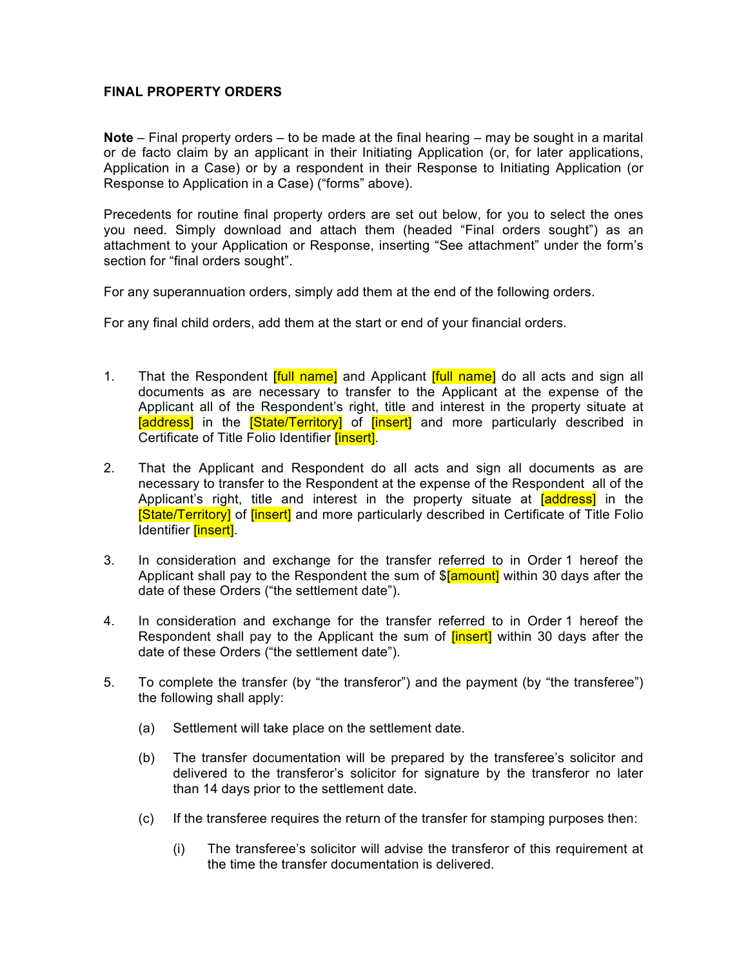## **FINAL PROPERTY ORDERS**

**Note** – Final property orders – to be made at the final hearing – may be sought in a marital or de facto claim by an applicant in their Initiating Application (or, for later applications, Application in a Case) or by a respondent in their Response to Initiating Application (or Response to Application in a Case) ("forms" above).

Precedents for routine final property orders are set out below, for you to select the ones you need. Simply download and attach them (headed "Final orders sought") as an attachment to your Application or Response, inserting "See attachment" under the form's section for "final orders sought".

For any superannuation orders, simply add them at the end of the following orders.

For any final child orders, add them at the start or end of your financial orders.

- 1. That the Respondent *[full name]* and Applicant *[full name]* do all acts and sign all documents as are necessary to transfer to the Applicant at the expense of the Applicant all of the Respondent's right, title and interest in the property situate at [address] in the [State/Territory] of [insert] and more particularly described in Certificate of Title Folio Identifier *[insert]*.
- 2. That the Applicant and Respondent do all acts and sign all documents as are necessary to transfer to the Respondent at the expense of the Respondent all of the Applicant's right, title and interest in the property situate at **[address]** in the **[State/Territory]** of *[insert]* and more particularly described in Certificate of Title Folio Identifier **[insert]**.
- 3. In consideration and exchange for the transfer referred to in Order 1 hereof the Applicant shall pay to the Respondent the sum of \$[amount] within 30 days after the date of these Orders ("the settlement date").
- 4. In consideration and exchange for the transfer referred to in Order 1 hereof the Respondent shall pay to the Applicant the sum of *[insert]* within 30 days after the date of these Orders ("the settlement date").
- 5. To complete the transfer (by "the transferor") and the payment (by "the transferee") the following shall apply:
	- (a) Settlement will take place on the settlement date.
	- (b) The transfer documentation will be prepared by the transferee's solicitor and delivered to the transferor's solicitor for signature by the transferor no later than 14 days prior to the settlement date.
	- (c) If the transferee requires the return of the transfer for stamping purposes then:
		- (i) The transferee's solicitor will advise the transferor of this requirement at the time the transfer documentation is delivered.